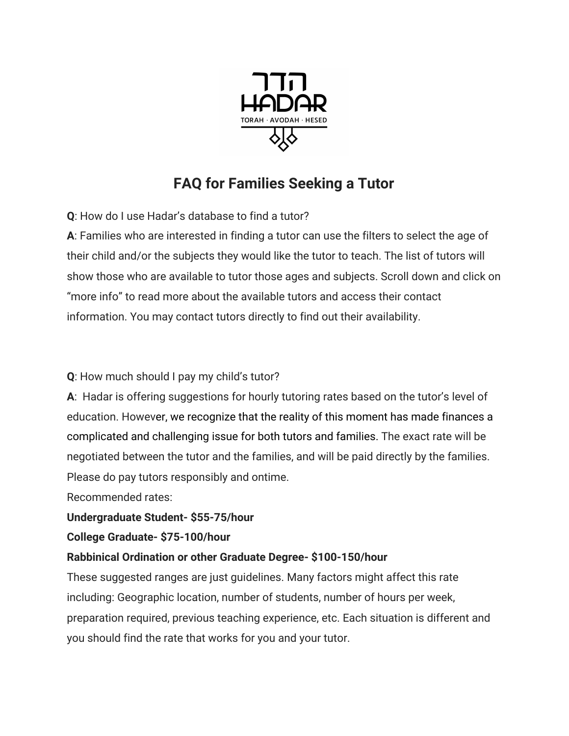

## **FAQ for Families Seeking a Tutor**

**Q**: How do I use Hadar's database to find a tutor?

**A**: Families who are interested in finding a tutor can use the filters to select the age of their child and/or the subjects they would like the tutor to teach. The list of tutors will show those who are available to tutor those ages and subjects. Scroll down and click on "more info" to read more about the available tutors and access their contact information. You may contact tutors directly to find out their availability.

**Q**: How much should I pay my child's tutor?

**A**: Hadar is offering suggestions for hourly tutoring rates based on the tutor's level of education. However, we recognize that the reality of this moment has made finances a complicated and challenging issue for both tutors and families. The exact rate will be negotiated between the tutor and the families, and will be paid directly by the families. Please do pay tutors responsibly and ontime.

Recommended rates:

**Undergraduate Student- \$55-75/hour**

**College Graduate- \$75-100/hour**

## **Rabbinical Ordination or other Graduate Degree- \$100-150/hour**

These suggested ranges are just guidelines. Many factors might affect this rate including: Geographic location, number of students, number of hours per week, preparation required, previous teaching experience, etc. Each situation is different and you should find the rate that works for you and your tutor.